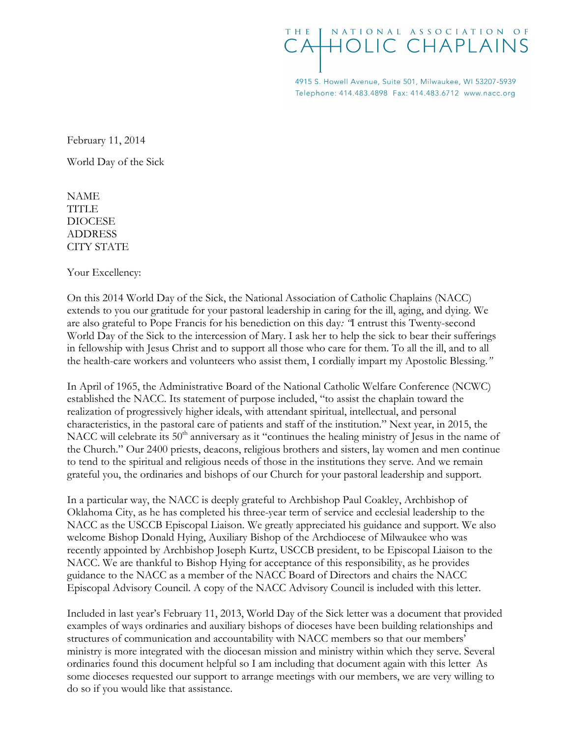## NATIONAL ASSOCIATION OF THF CAHOLIC CHAPLAINS

4915 S. Howell Avenue, Suite 501, Milwaukee, WI 53207-5939 Telephone: 414.483.4898 Fax: 414.483.6712 www.nacc.org

February 11, 2014

World Day of the Sick

NAME **TITLE** DIOCESE ADDRESS CITY STATE

Your Excellency:

On this 2014 World Day of the Sick, the National Association of Catholic Chaplains (NACC) extends to you our gratitude for your pastoral leadership in caring for the ill, aging, and dying. We are also grateful to Pope Francis for his benediction on this day: "I entrust this Twenty-second World Day of the Sick to the intercession of Mary. I ask her to help the sick to bear their sufferings in fellowship with Jesus Christ and to support all those who care for them. To all the ill, and to all the health-care workers and volunteers who assist them, I cordially impart my Apostolic Blessing."

In April of 1965, the Administrative Board of the National Catholic Welfare Conference (NCWC) established the NACC. Its statement of purpose included, "to assist the chaplain toward the realization of progressively higher ideals, with attendant spiritual, intellectual, and personal characteristics, in the pastoral care of patients and staff of the institution." Next year, in 2015, the NACC will celebrate its  $50<sup>th</sup>$  anniversary as it "continues the healing ministry of Jesus in the name of the Church." Our 2400 priests, deacons, religious brothers and sisters, lay women and men continue to tend to the spiritual and religious needs of those in the institutions they serve. And we remain grateful you, the ordinaries and bishops of our Church for your pastoral leadership and support.

In a particular way, the NACC is deeply grateful to Archbishop Paul Coakley, Archbishop of Oklahoma City, as he has completed his three-year term of service and ecclesial leadership to the NACC as the USCCB Episcopal Liaison. We greatly appreciated his guidance and support. We also welcome Bishop Donald Hying, Auxiliary Bishop of the Archdiocese of Milwaukee who was recently appointed by Archbishop Joseph Kurtz, USCCB president, to be Episcopal Liaison to the NACC. We are thankful to Bishop Hying for acceptance of this responsibility, as he provides guidance to the NACC as a member of the NACC Board of Directors and chairs the NACC Episcopal Advisory Council. A copy of the NACC Advisory Council is included with this letter.

Included in last year's February 11, 2013, World Day of the Sick letter was a document that provided examples of ways ordinaries and auxiliary bishops of dioceses have been building relationships and structures of communication and accountability with NACC members so that our members' ministry is more integrated with the diocesan mission and ministry within which they serve. Several ordinaries found this document helpful so I am including that document again with this letter As some dioceses requested our support to arrange meetings with our members, we are very willing to do so if you would like that assistance.